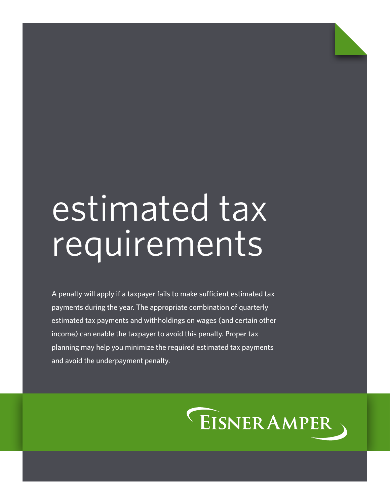# estimated tax requirements

A penalty will apply if a taxpayer fails to make sufficient estimated tax payments during the year. The appropriate combination of quarterly estimated tax payments and withholdings on wages (and certain other income) can enable the taxpayer to avoid this penalty. Proper tax planning may help you minimize the required estimated tax payments and avoid the underpayment penalty.

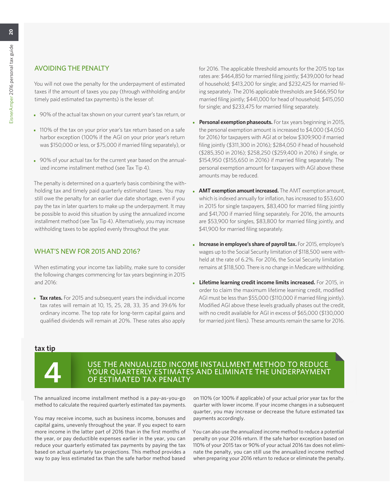## AVOIDING THE PENALTY

You will not owe the penalty for the underpayment of estimated taxes if the amount of taxes you pay (through withholding and/or timely paid estimated tax payments) is the lesser of:

- 90% of the actual tax shown on your current year's tax return, or
- 110% of the tax on your prior year's tax return based on a safe harbor exception (100% if the AGI on your prior year's return was \$150,000 or less, or \$75,000 if married filing separately), or
- 90% of your actual tax for the current year based on the annualized income installment method (see Tax Tip 4).

The penalty is determined on a quarterly basis combining the withholding tax and timely paid quarterly estimated taxes. You may still owe the penalty for an earlier due date shortage, even if you pay the tax in later quarters to make up the underpayment. It may be possible to avoid this situation by using the annualized income installment method (see Tax Tip 4). Alternatively, you may increase withholding taxes to be applied evenly throughout the year.

## WHAT'S NEW FOR 2015 AND 2016?

When estimating your income tax liability, make sure to consider the following changes commencing for tax years beginning in 2015 and 2016:

• **Tax rates.** For 2015 and subsequent years the individual income tax rates will remain at 10, 15, 25, 28, 33, 35 and 39.6% for ordinary income. The top rate for long-term capital gains and qualified dividends will remain at 20%. These rates also apply

for 2016. The applicable threshold amounts for the 2015 top tax rates are: \$464,850 for married filing jointly; \$439,000 for head of household; \$413,200 for single; and \$232,425 for married filing separately. The 2016 applicable thresholds are \$466,950 for married filing jointly; \$441,000 for head of household; \$415,050 for single; and \$233,475 for married filing separately.

- **Personal exemption phaseouts.** For tax years beginning in 2015, the personal exemption amount is increased to \$4,000 (\$4,050 for 2016) for taxpayers with AGI at or below \$309,900 if married filing jointly (\$311,300 in 2016); \$284,050 if head of household (\$285,350 in 2016); \$258,250 (\$259,400 in 2016) if single, or \$154,950 (\$155,650 in 2016) if married filing separately. The personal exemption amount for taxpayers with AGI above these amounts may be reduced.
- **AMT exemption amount increased.** The AMT exemption amount, which is indexed annually for inflation, has increased to \$53,600 in 2015 for single taxpayers, \$83,400 for married filing jointly and \$41,700 if married filing separately. For 2016, the amounts are \$53,900 for singles, \$83,800 for married filing jointly, and \$41,900 for married filing separately.
- **Increase in employee's share of payroll tax.** For 2015, employee's wages up to the Social Security limitation of \$118,500 were withheld at the rate of 6.2%. For 2016, the Social Security limitation remains at \$118,500. There is no change in Medicare withholding.
- **Lifetime learning credit income limits increased.** For 2015, in order to claim the maximum lifetime learning credit, modified AGI must be less than \$55,000 (\$110,000 if married filing jointly). Modified AGI above these levels gradually phases out the credit, with no credit available for AGI in excess of \$65,000 (\$130,000 for married joint filers). These amounts remain the same for 2016.

## **tax tip**



## USE THE ANNUALIZED INCOME INSTALLMENT METHOD TO REDUCE<br>
YOUR QUARTERLY ESTIMATES AND ELIMINATE THE UNDERPAYMENT<br>
OF ESTIMATED TAX PENALTY YOUR QUARTERLY ESTIMATES AND ELIMINATE THE UNDERPAYMENT OF ESTIMATED TAX PENALTY

The annualized income installment method is a pay-as-you-go method to calculate the required quarterly estimated tax payments.

You may receive income, such as business income, bonuses and capital gains, unevenly throughout the year. If you expect to earn more income in the latter part of 2016 than in the first months of the year, or pay deductible expenses earlier in the year, you can reduce your quarterly estimated tax payments by paying the tax based on actual quarterly tax projections. This method provides a way to pay less estimated tax than the safe harbor method based

on 110% (or 100% if applicable) of your actual prior year tax for the quarter with lower income. If your income changes in a subsequent quarter, you may increase or decrease the future estimated tax payments accordingly.

You can also use the annualized income method to reduce a potential penalty on your 2016 return. If the safe harbor exception based on 110% of your 2015 tax or 90% of your actual 2016 tax does not eliminate the penalty, you can still use the annualized income method when preparing your 2016 return to reduce or eliminate the penalty.